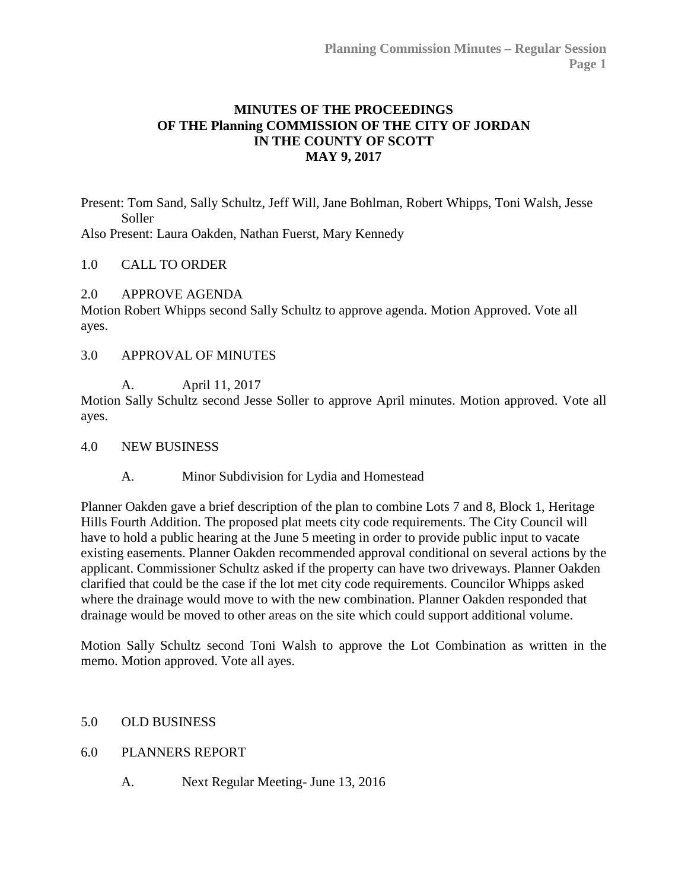## **MINUTES OF THE PROCEEDINGS OF THE Planning COMMISSION OF THE CITY OF JORDAN IN THE COUNTY OF SCOTT MAY 9, 2017**

Present: Tom Sand, Sally Schultz, Jeff Will, Jane Bohlman, Robert Whipps, Toni Walsh, Jesse Soller

Also Present: Laura Oakden, Nathan Fuerst, Mary Kennedy

#### 1.0 CALL TO ORDER

2.0 APPROVE AGENDA

Motion Robert Whipps second Sally Schultz to approve agenda. Motion Approved. Vote all ayes.

3.0 APPROVAL OF MINUTES

A. April 11, 2017

Motion Sally Schultz second Jesse Soller to approve April minutes. Motion approved. Vote all ayes.

- 4.0 NEW BUSINESS
	- A. Minor Subdivision for Lydia and Homestead

Planner Oakden gave a brief description of the plan to combine Lots 7 and 8, Block 1, Heritage Hills Fourth Addition. The proposed plat meets city code requirements. The City Council will have to hold a public hearing at the June 5 meeting in order to provide public input to vacate existing easements. Planner Oakden recommended approval conditional on several actions by the applicant. Commissioner Schultz asked if the property can have two driveways. Planner Oakden clarified that could be the case if the lot met city code requirements. Councilor Whipps asked where the drainage would move to with the new combination. Planner Oakden responded that drainage would be moved to other areas on the site which could support additional volume.

Motion Sally Schultz second Toni Walsh to approve the Lot Combination as written in the memo. Motion approved. Vote all ayes.

### 5.0 OLD BUSINESS

- 6.0 PLANNERS REPORT
	- A. Next Regular Meeting- June 13, 2016